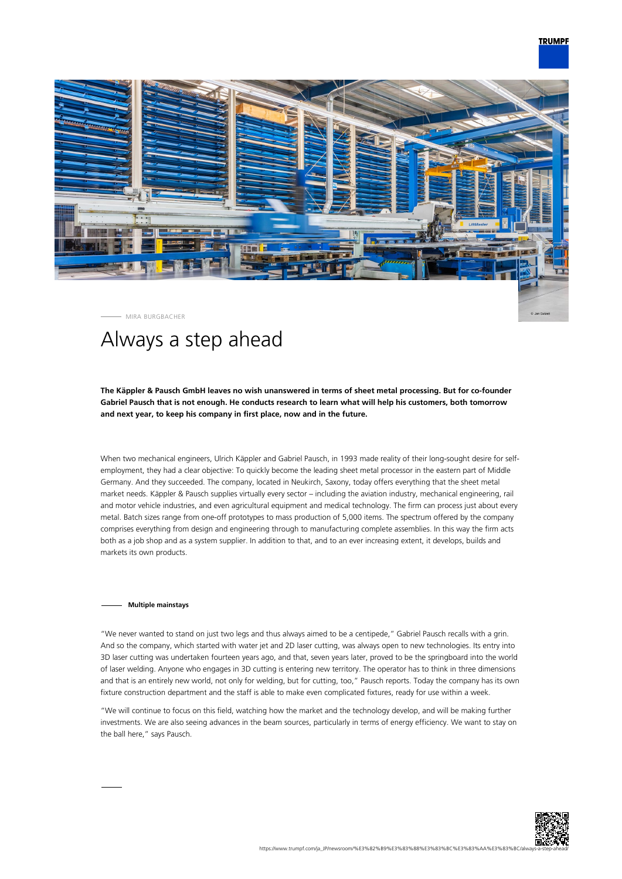# **TRUMPF**



MIRA BURGBACHER

# Always a step ahead

## **The Käppler & Pausch GmbH leaves no wish unanswered in terms of sheet metal processing. But for co-founder Gabriel Pausch that is not enough. He conducts research to learn what will help his customers, both tomorrow and next year, to keep his company in first place, now and in the future.**

When two mechanical engineers, Ulrich Käppler and Gabriel Pausch, in 1993 made reality of their long-sought desire for selfemployment, they had a clear objective: To quickly become the leading sheet metal processor in the eastern part of Middle Germany. And they succeeded. The company, located in Neukirch, Saxony, today offers everything that the sheet metal market needs. Käppler & Pausch supplies virtually every sector – including the aviation industry, mechanical engineering, rail and motor vehicle industries, and even agricultural equipment and medical technology. The firm can process just about every metal. Batch sizes range from one-off prototypes to mass production of 5,000 items. The spectrum offered by the company comprises everything from design and engineering through to manufacturing complete assemblies. In this way the firm acts both as a job shop and as a system supplier. In addition to that, and to an ever increasing extent, it develops, builds and markets its own products.

### **Multiple mainstays**

"We never wanted to stand on just two legs and thus always aimed to be a centipede," Gabriel Pausch recalls with a grin. And so the company, which started with water jet and 2D laser cutting, was always open to new technologies. Its entry into 3D laser cutting was undertaken fourteen years ago, and that, seven years later, proved to be the springboard into the world of laser welding. Anyone who engages in 3D cutting is entering new territory. The operator has to think in three dimensions and that is an entirely new world, not only for welding, but for cutting, too," Pausch reports. Today the company has its own fixture construction department and the staff is able to make even complicated fixtures, ready for use within a week.

"We will continue to focus on this field, watching how the market and the technology develop, and will be making further investments. We are also seeing advances in the beam sources, particularly in terms of energy efficiency. We want to stay on the ball here," says Pausch.

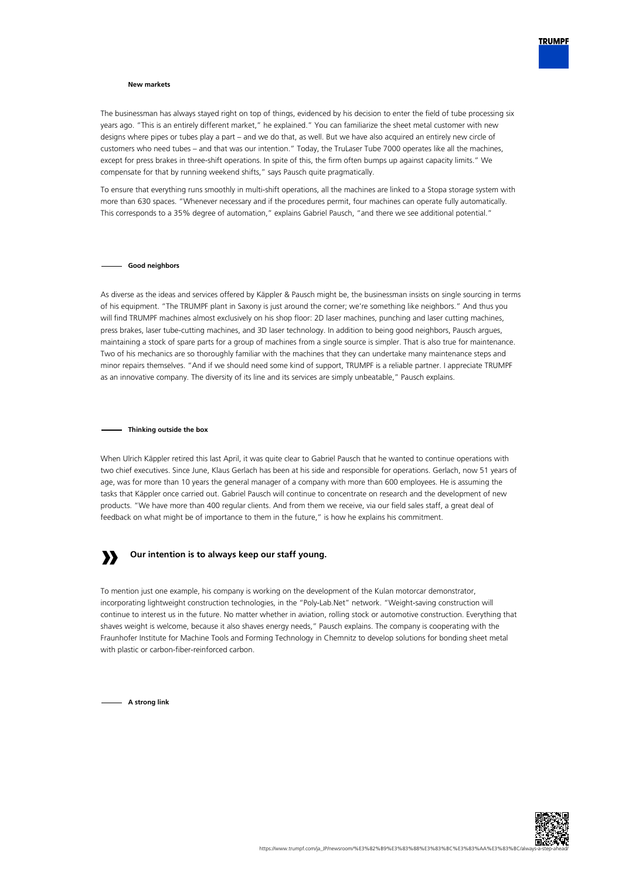

## **New markets**

The businessman has always stayed right on top of things, evidenced by his decision to enter the field of tube processing six years ago. "This is an entirely different market," he explained." You can familiarize the sheet metal customer with new designs where pipes or tubes play a part – and we do that, as well. But we have also acquired an entirely new circle of customers who need tubes – and that was our intention." Today, the TruLaser Tube 7000 operates like all the machines, except for press brakes in three-shift operations. In spite of this, the firm often bumps up against capacity limits." We compensate for that by running weekend shifts," says Pausch quite pragmatically.

To ensure that everything runs smoothly in multi-shift operations, all the machines are linked to a Stopa storage system with more than 630 spaces. "Whenever necessary and if the procedures permit, four machines can operate fully automatically. This corresponds to a 35% degree of automation," explains Gabriel Pausch, "and there we see additional potential."

#### **Good neighbors**

As diverse as the ideas and services offered by Käppler & Pausch might be, the businessman insists on single sourcing in terms of his equipment. "The TRUMPF plant in Saxony is just around the corner; we're something like neighbors." And thus you will find TRUMPF machines almost exclusively on his shop floor: 2D laser machines, punching and laser cutting machines, press brakes, laser tube-cutting machines, and 3D laser technology. In addition to being good neighbors, Pausch argues, maintaining a stock of spare parts for a group of machines from a single source is simpler. That is also true for maintenance. Two of his mechanics are so thoroughly familiar with the machines that they can undertake many maintenance steps and minor repairs themselves. "And if we should need some kind of support, TRUMPF is a reliable partner. I appreciate TRUMPF as an innovative company. The diversity of its line and its services are simply unbeatable," Pausch explains.

#### **Thinking outside the box**

When Ulrich Käppler retired this last April, it was quite clear to Gabriel Pausch that he wanted to continue operations with two chief executives. Since June, Klaus Gerlach has been at his side and responsible for operations. Gerlach, now 51 years of age, was for more than 10 years the general manager of a company with more than 600 employees. He is assuming the tasks that Käppler once carried out. Gabriel Pausch will continue to concentrate on research and the development of new products. "We have more than 400 regular clients. And from them we receive, via our field sales staff, a great deal of feedback on what might be of importance to them in the future," is how he explains his commitment.

#### **» Our intention is to always keep our staff young.**

To mention just one example, his company is working on the development of the Kulan motorcar demonstrator, incorporating lightweight construction technologies, in the "Poly-Lab.Net" network. "Weight-saving construction will continue to interest us in the future. No matter whether in aviation, rolling stock or automotive construction. Everything that shaves weight is welcome, because it also shaves energy needs," Pausch explains. The company is cooperating with the Fraunhofer Institute for Machine Tools and Forming Technology in Chemnitz to develop solutions for bonding sheet metal with plastic or carbon-fiber-reinforced carbon.

**A strong link**

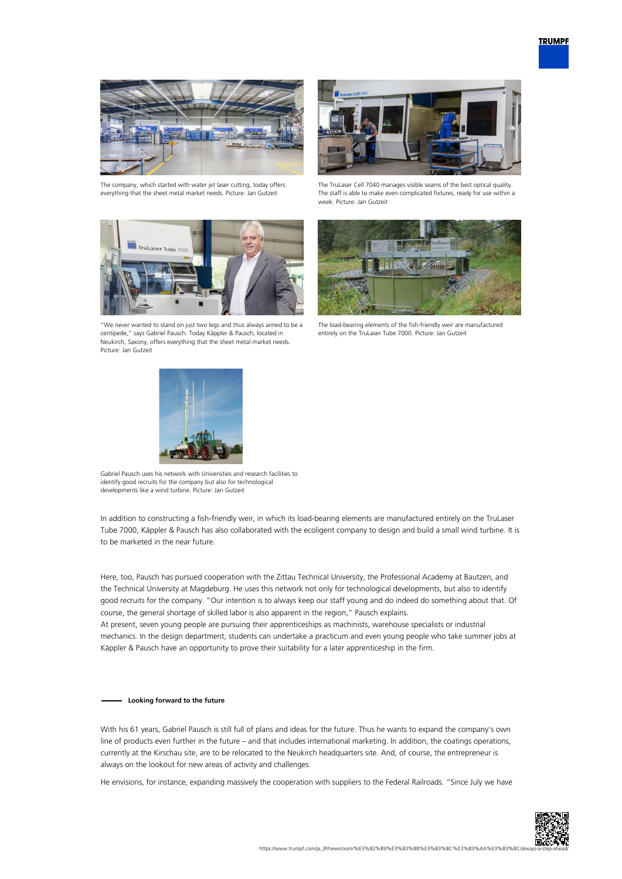

The company, which started with water jet laser cutting, today offers everything that the sheet metal market needs. Picture: Jan Gutzeit



"We never wanted to stand on just two legs and thus always aimed to be a centipede," says Gabriel Pausch. Today Käppler & Pausch, located in Neukirch, Saxony, offers everything that the sheet metal market needs. Picture: Jan Gutzeit



The TruLaser Cell 7040 manages visible seams of the best optical quality. The staff is able to make even complicated fixtures, ready for use within a week. Picture: Jan Gutzeit



The load-bearing elements of the fish-friendly weir are manufactured entirely on the TruLaser Tube 7000. Picture: Jan Gutzeit



Gabriel Pausch uses his network with Universities and research facilities to identify good recruits for the company but also for technological developments like a wind turbine. Picture: Jan Gutzeit

In addition to constructing a fish-friendly weir, in which its load-bearing elements are manufactured entirely on the TruLaser Tube 7000, Käppler & Pausch has also collaborated with the ecoligent company to design and build a small wind turbine. It is to be marketed in the near future.

Here, too, Pausch has pursued cooperation with the Zittau Technical University, the Professional Academy at Bautzen, and the Technical University at Magdeburg. He uses this network not only for technological developments, but also to identify good recruits for the company. "Our intention is to always keep our staff young and do indeed do something about that. Of course, the general shortage of skilled labor is also apparent in the region," Pausch explains.

At present, seven young people are pursuing their apprenticeships as machinists, warehouse specialists or industrial mechanics. In the design department, students can undertake a practicum and even young people who take summer jobs at Käppler & Pausch have an opportunity to prove their suitability for a later apprenticeship in the firm.

## **Looking forward to the future**

With his 61 years, Gabriel Pausch is still full of plans and ideas for the future. Thus he wants to expand the company's own line of products even further in the future – and that includes international marketing. In addition, the coatings operations, currently at the Kirschau site, are to be relocated to the Neukirch headquarters site. And, of course, the entrepreneur is always on the lookout for new areas of activity and challenges.

He envisions, for instance, expanding massively the cooperation with suppliers to the Federal Railroads. "Since July we have